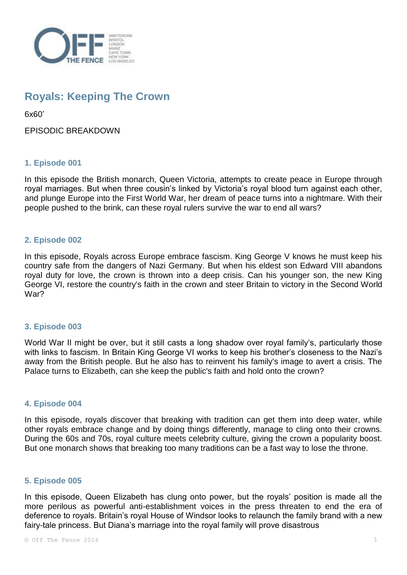

# **Royals: Keeping The Crown**

6x60'

## EPISODIC BREAKDOWN

#### **1. Episode 001**

In this episode the British monarch, Queen Victoria, attempts to create peace in Europe through royal marriages. But when three cousin's linked by Victoria's royal blood turn against each other, and plunge Europe into the First World War, her dream of peace turns into a nightmare. With their people pushed to the brink, can these royal rulers survive the war to end all wars?

## **2. Episode 002**

In this episode, Royals across Europe embrace fascism. King George V knows he must keep his country safe from the dangers of Nazi Germany. But when his eldest son Edward VIII abandons royal duty for love, the crown is thrown into a deep crisis. Can his younger son, the new King George VI, restore the country's faith in the crown and steer Britain to victory in the Second World War?

#### **3. Episode 003**

World War II might be over, but it still casts a long shadow over royal family's, particularly those with links to fascism. In Britain King George VI works to keep his brother's closeness to the Nazi's away from the British people. But he also has to reinvent his family's image to avert a crisis. The Palace turns to Elizabeth, can she keep the public's faith and hold onto the crown?

#### **4. Episode 004**

In this episode, royals discover that breaking with tradition can get them into deep water, while other royals embrace change and by doing things differently, manage to cling onto their crowns. During the 60s and 70s, royal culture meets celebrity culture, giving the crown a popularity boost. But one monarch shows that breaking too many traditions can be a fast way to lose the throne.

#### **5. Episode 005**

In this episode, Queen Elizabeth has clung onto power, but the royals' position is made all the more perilous as powerful anti-establishment voices in the press threaten to end the era of deference to royals. Britain's royal House of Windsor looks to relaunch the family brand with a new fairy-tale princess. But Diana's marriage into the royal family will prove disastrous